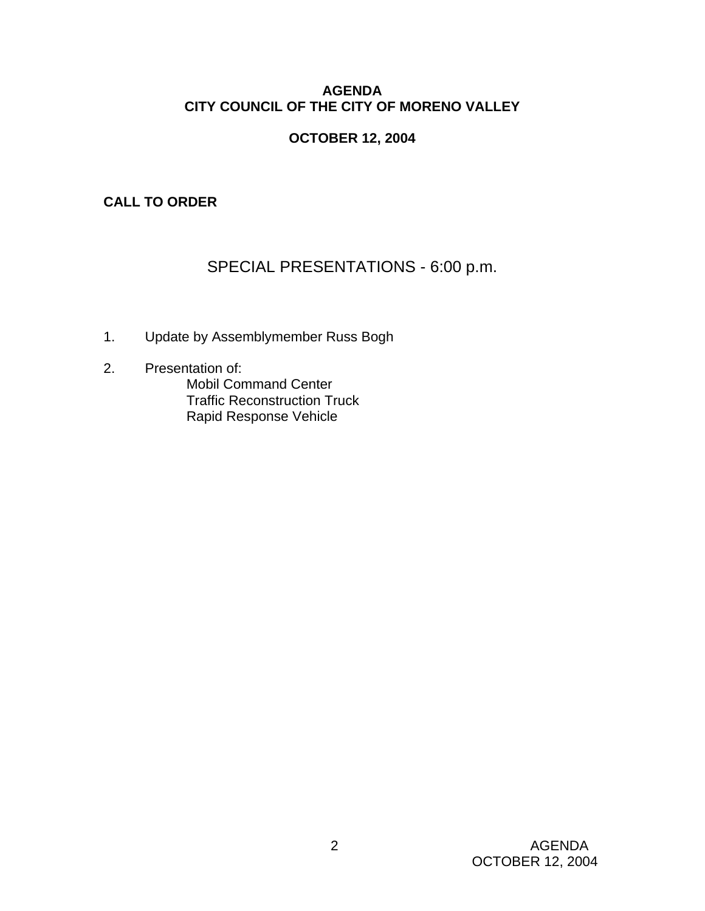## **AGENDA CITY COUNCIL OF THE CITY OF MORENO VALLEY**

## **OCTOBER 12, 2004**

## **CALL TO ORDER**

# SPECIAL PRESENTATIONS - 6:00 p.m.

- 1. Update by Assemblymember Russ Bogh
- 2. Presentation of: Mobil Command Center Traffic Reconstruction Truck Rapid Response Vehicle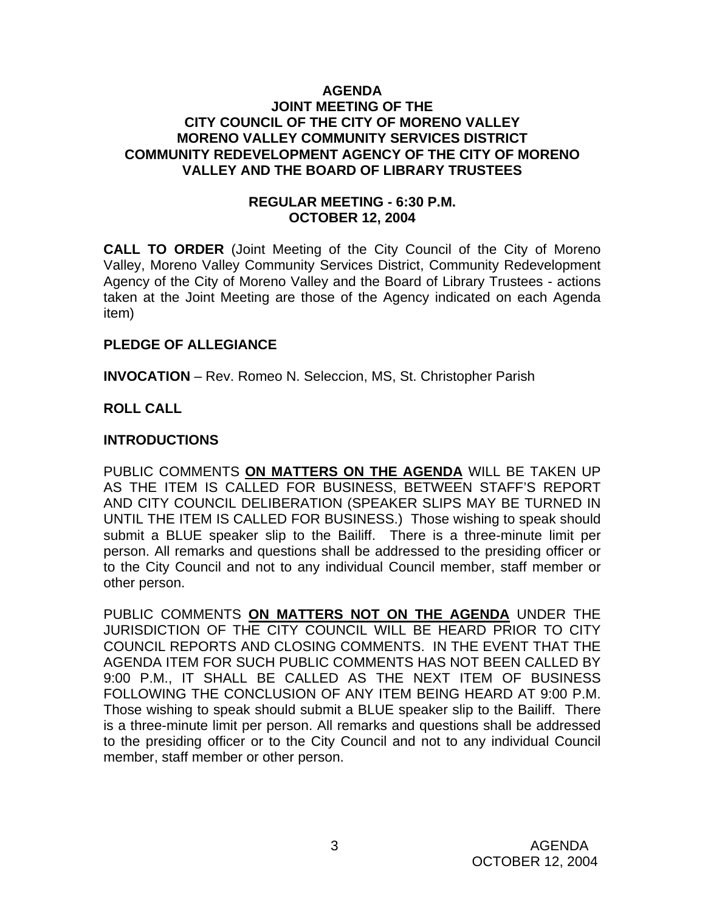#### **AGENDA JOINT MEETING OF THE CITY COUNCIL OF THE CITY OF MORENO VALLEY MORENO VALLEY COMMUNITY SERVICES DISTRICT COMMUNITY REDEVELOPMENT AGENCY OF THE CITY OF MORENO VALLEY AND THE BOARD OF LIBRARY TRUSTEES**

#### **REGULAR MEETING - 6:30 P.M. OCTOBER 12, 2004**

**CALL TO ORDER** (Joint Meeting of the City Council of the City of Moreno Valley, Moreno Valley Community Services District, Community Redevelopment Agency of the City of Moreno Valley and the Board of Library Trustees - actions taken at the Joint Meeting are those of the Agency indicated on each Agenda item)

#### **PLEDGE OF ALLEGIANCE**

**INVOCATION** – Rev. Romeo N. Seleccion, MS, St. Christopher Parish

#### **ROLL CALL**

#### **INTRODUCTIONS**

PUBLIC COMMENTS **ON MATTERS ON THE AGENDA** WILL BE TAKEN UP AS THE ITEM IS CALLED FOR BUSINESS, BETWEEN STAFF'S REPORT AND CITY COUNCIL DELIBERATION (SPEAKER SLIPS MAY BE TURNED IN UNTIL THE ITEM IS CALLED FOR BUSINESS.) Those wishing to speak should submit a BLUE speaker slip to the Bailiff. There is a three-minute limit per person. All remarks and questions shall be addressed to the presiding officer or to the City Council and not to any individual Council member, staff member or other person.

PUBLIC COMMENTS **ON MATTERS NOT ON THE AGENDA** UNDER THE JURISDICTION OF THE CITY COUNCIL WILL BE HEARD PRIOR TO CITY COUNCIL REPORTS AND CLOSING COMMENTS. IN THE EVENT THAT THE AGENDA ITEM FOR SUCH PUBLIC COMMENTS HAS NOT BEEN CALLED BY 9:00 P.M., IT SHALL BE CALLED AS THE NEXT ITEM OF BUSINESS FOLLOWING THE CONCLUSION OF ANY ITEM BEING HEARD AT 9:00 P.M. Those wishing to speak should submit a BLUE speaker slip to the Bailiff. There is a three-minute limit per person. All remarks and questions shall be addressed to the presiding officer or to the City Council and not to any individual Council member, staff member or other person.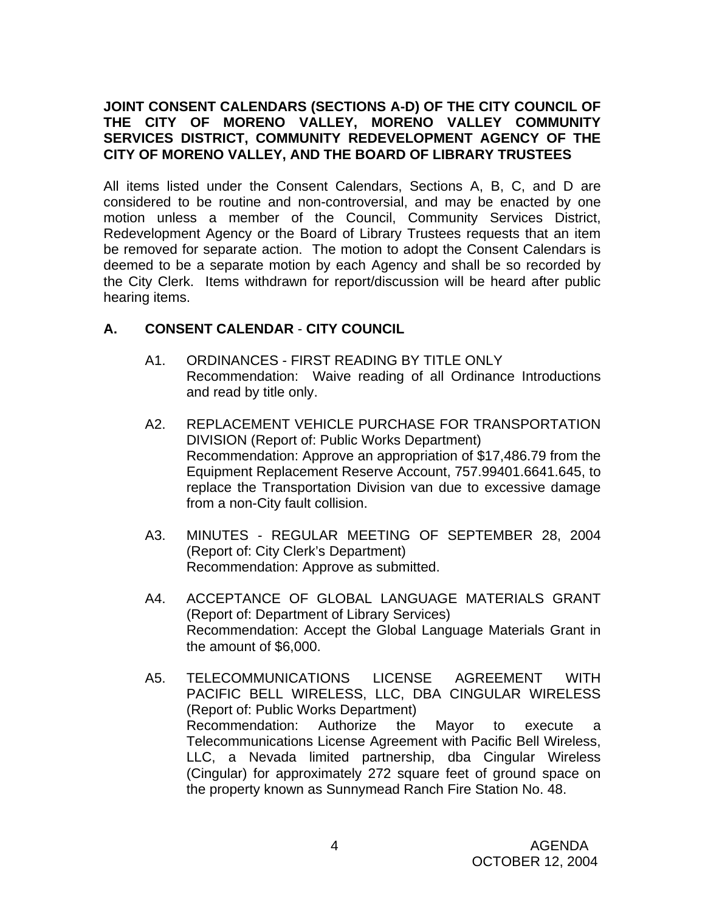## **JOINT CONSENT CALENDARS (SECTIONS A-D) OF THE CITY COUNCIL OF THE CITY OF MORENO VALLEY, MORENO VALLEY COMMUNITY SERVICES DISTRICT, COMMUNITY REDEVELOPMENT AGENCY OF THE CITY OF MORENO VALLEY, AND THE BOARD OF LIBRARY TRUSTEES**

All items listed under the Consent Calendars, Sections A, B, C, and D are considered to be routine and non-controversial, and may be enacted by one motion unless a member of the Council, Community Services District, Redevelopment Agency or the Board of Library Trustees requests that an item be removed for separate action. The motion to adopt the Consent Calendars is deemed to be a separate motion by each Agency and shall be so recorded by the City Clerk. Items withdrawn for report/discussion will be heard after public hearing items.

# **A. CONSENT CALENDAR** - **CITY COUNCIL**

- A1. ORDINANCES FIRST READING BY TITLE ONLY Recommendation: Waive reading of all Ordinance Introductions and read by title only.
- A2. REPLACEMENT VEHICLE PURCHASE FOR TRANSPORTATION DIVISION (Report of: Public Works Department) Recommendation: Approve an appropriation of \$17,486.79 from the Equipment Replacement Reserve Account, 757.99401.6641.645, to replace the Transportation Division van due to excessive damage from a non-City fault collision.
- A3. MINUTES REGULAR MEETING OF SEPTEMBER 28, 2004 (Report of: City Clerk's Department) Recommendation: Approve as submitted.
- A4. ACCEPTANCE OF GLOBAL LANGUAGE MATERIALS GRANT (Report of: Department of Library Services) Recommendation: Accept the Global Language Materials Grant in the amount of \$6,000.
- A5. TELECOMMUNICATIONS LICENSE AGREEMENT WITH PACIFIC BELL WIRELESS, LLC, DBA CINGULAR WIRELESS (Report of: Public Works Department) Recommendation: Authorize the Mayor to execute a Telecommunications License Agreement with Pacific Bell Wireless, LLC, a Nevada limited partnership, dba Cingular Wireless (Cingular) for approximately 272 square feet of ground space on the property known as Sunnymead Ranch Fire Station No. 48.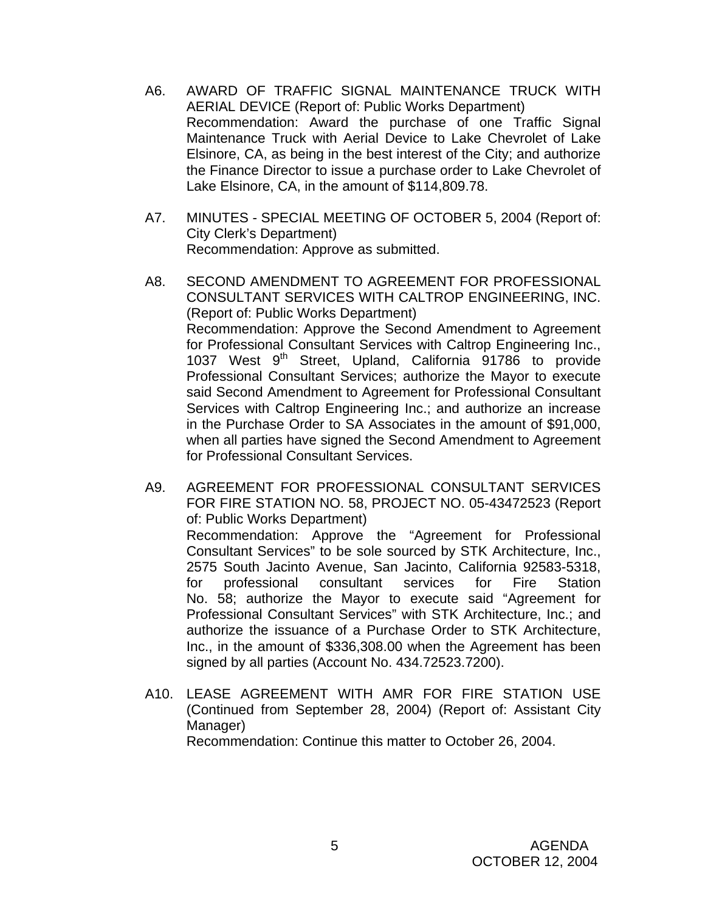- A6. AWARD OF TRAFFIC SIGNAL MAINTENANCE TRUCK WITH AERIAL DEVICE (Report of: Public Works Department) Recommendation: Award the purchase of one Traffic Signal Maintenance Truck with Aerial Device to Lake Chevrolet of Lake Elsinore, CA, as being in the best interest of the City; and authorize the Finance Director to issue a purchase order to Lake Chevrolet of Lake Elsinore, CA, in the amount of \$114,809.78.
- A7. MINUTES SPECIAL MEETING OF OCTOBER 5, 2004 (Report of: City Clerk's Department) Recommendation: Approve as submitted.
- A8. SECOND AMENDMENT TO AGREEMENT FOR PROFESSIONAL CONSULTANT SERVICES WITH CALTROP ENGINEERING, INC. (Report of: Public Works Department) Recommendation: Approve the Second Amendment to Agreement for Professional Consultant Services with Caltrop Engineering Inc., 1037 West 9<sup>th</sup> Street, Upland, California 91786 to provide Professional Consultant Services; authorize the Mayor to execute said Second Amendment to Agreement for Professional Consultant Services with Caltrop Engineering Inc.; and authorize an increase in the Purchase Order to SA Associates in the amount of \$91,000, when all parties have signed the Second Amendment to Agreement for Professional Consultant Services.
- A9. AGREEMENT FOR PROFESSIONAL CONSULTANT SERVICES FOR FIRE STATION NO. 58, PROJECT NO. 05-43472523 (Report of: Public Works Department)

 Recommendation: Approve the "Agreement for Professional Consultant Services" to be sole sourced by STK Architecture, Inc., 2575 South Jacinto Avenue, San Jacinto, California 92583-5318, for professional consultant services for Fire Station No. 58; authorize the Mayor to execute said "Agreement for Professional Consultant Services" with STK Architecture, Inc.; and authorize the issuance of a Purchase Order to STK Architecture, Inc., in the amount of \$336,308.00 when the Agreement has been signed by all parties (Account No. 434.72523.7200).

A10. LEASE AGREEMENT WITH AMR FOR FIRE STATION USE (Continued from September 28, 2004) (Report of: Assistant City Manager) Recommendation: Continue this matter to October 26, 2004.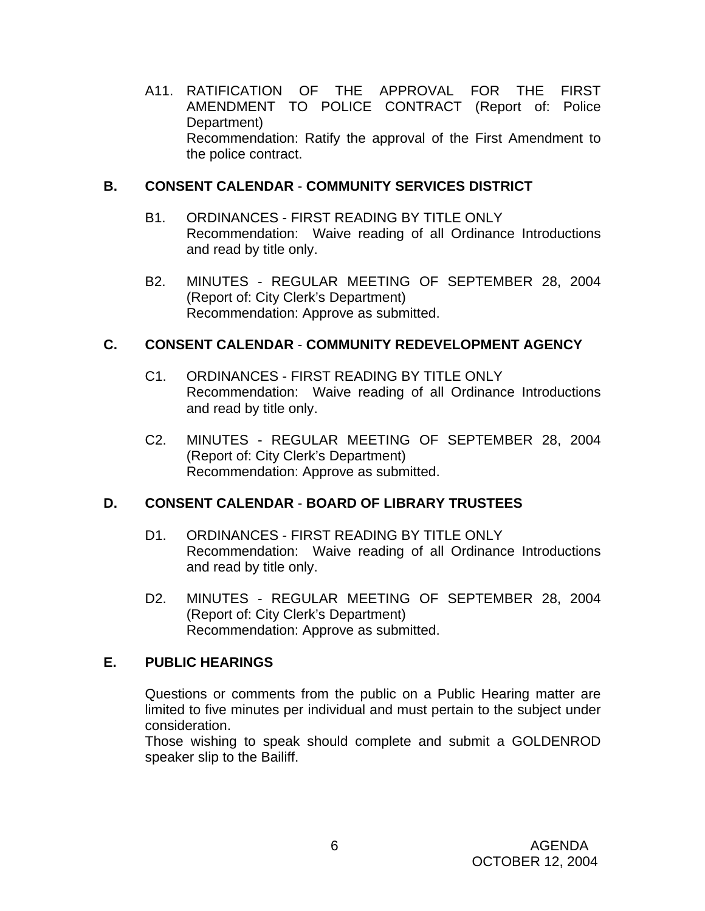A11. RATIFICATION OF THE APPROVAL FOR THE FIRST AMENDMENT TO POLICE CONTRACT (Report of: Police Department) Recommendation: Ratify the approval of the First Amendment to the police contract.

#### **B. CONSENT CALENDAR** - **COMMUNITY SERVICES DISTRICT**

- B1. ORDINANCES FIRST READING BY TITLE ONLY Recommendation: Waive reading of all Ordinance Introductions and read by title only.
- B2. MINUTES REGULAR MEETING OF SEPTEMBER 28, 2004 (Report of: City Clerk's Department) Recommendation: Approve as submitted.

## **C. CONSENT CALENDAR** - **COMMUNITY REDEVELOPMENT AGENCY**

- C1. ORDINANCES FIRST READING BY TITLE ONLY Recommendation: Waive reading of all Ordinance Introductions and read by title only.
- C2. MINUTES REGULAR MEETING OF SEPTEMBER 28, 2004 (Report of: City Clerk's Department) Recommendation: Approve as submitted.

## **D. CONSENT CALENDAR** - **BOARD OF LIBRARY TRUSTEES**

- D1. ORDINANCES FIRST READING BY TITLE ONLY Recommendation: Waive reading of all Ordinance Introductions and read by title only.
- D2. MINUTES REGULAR MEETING OF SEPTEMBER 28, 2004 (Report of: City Clerk's Department) Recommendation: Approve as submitted.

#### **E. PUBLIC HEARINGS**

Questions or comments from the public on a Public Hearing matter are limited to five minutes per individual and must pertain to the subject under consideration.

 Those wishing to speak should complete and submit a GOLDENROD speaker slip to the Bailiff.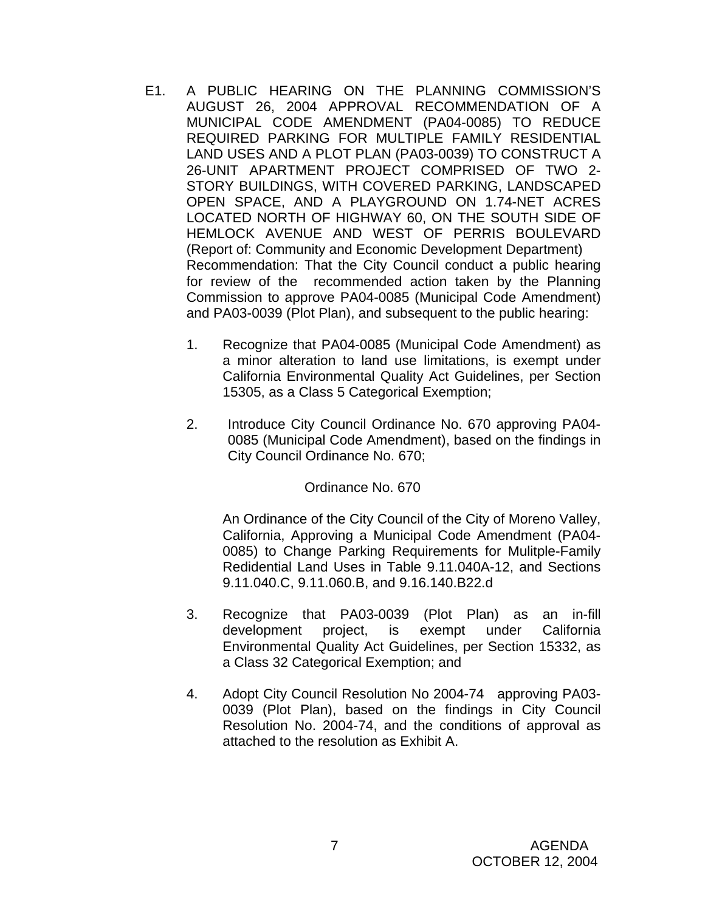- E1. A PUBLIC HEARING ON THE PLANNING COMMISSION'S AUGUST 26, 2004 APPROVAL RECOMMENDATION OF A MUNICIPAL CODE AMENDMENT (PA04-0085) TO REDUCE REQUIRED PARKING FOR MULTIPLE FAMILY RESIDENTIAL LAND USES AND A PLOT PLAN (PA03-0039) TO CONSTRUCT A 26-UNIT APARTMENT PROJECT COMPRISED OF TWO 2- STORY BUILDINGS, WITH COVERED PARKING, LANDSCAPED OPEN SPACE, AND A PLAYGROUND ON 1.74-NET ACRES LOCATED NORTH OF HIGHWAY 60, ON THE SOUTH SIDE OF HEMLOCK AVENUE AND WEST OF PERRIS BOULEVARD (Report of: Community and Economic Development Department) Recommendation: That the City Council conduct a public hearing for review of the recommended action taken by the Planning Commission to approve PA04-0085 (Municipal Code Amendment) and PA03-0039 (Plot Plan), and subsequent to the public hearing:
	- 1. Recognize that PA04-0085 (Municipal Code Amendment) as a minor alteration to land use limitations, is exempt under California Environmental Quality Act Guidelines, per Section 15305, as a Class 5 Categorical Exemption;
	- 2. Introduce City Council Ordinance No. 670 approving PA04- 0085 (Municipal Code Amendment), based on the findings in City Council Ordinance No. 670;

Ordinance No. 670

An Ordinance of the City Council of the City of Moreno Valley, California, Approving a Municipal Code Amendment (PA04- 0085) to Change Parking Requirements for Mulitple-Family Redidential Land Uses in Table 9.11.040A-12, and Sections 9.11.040.C, 9.11.060.B, and 9.16.140.B22.d

- 3. Recognize that PA03-0039 (Plot Plan) as an in-fill development project, is exempt under California Environmental Quality Act Guidelines, per Section 15332, as a Class 32 Categorical Exemption; and
- 4. Adopt City Council Resolution No 2004-74 approving PA03- 0039 (Plot Plan), based on the findings in City Council Resolution No. 2004-74, and the conditions of approval as attached to the resolution as Exhibit A.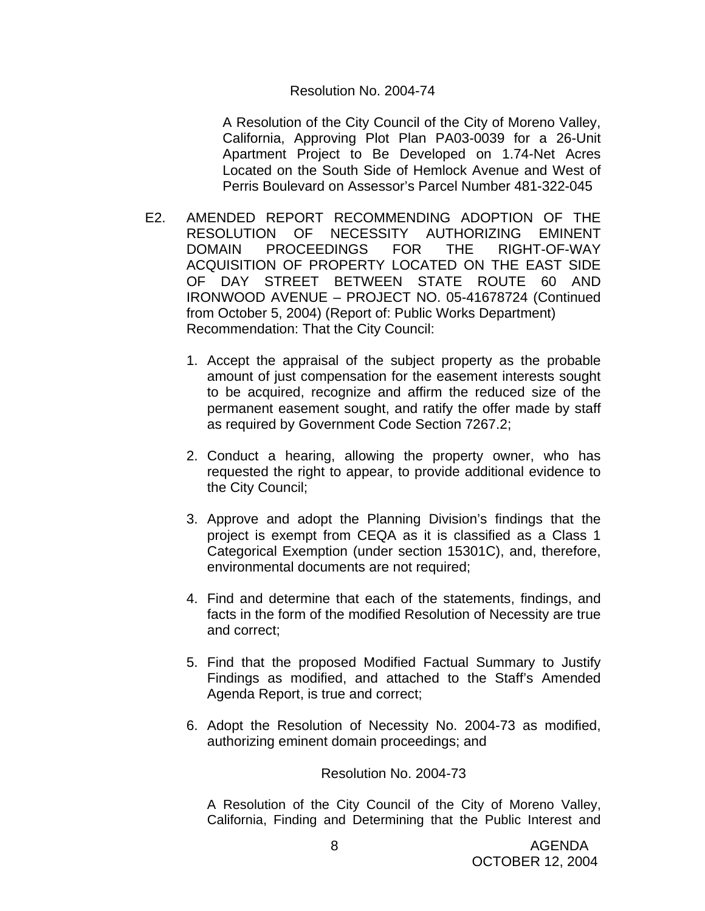#### Resolution No. 2004-74

A Resolution of the City Council of the City of Moreno Valley, California, Approving Plot Plan PA03-0039 for a 26-Unit Apartment Project to Be Developed on 1.74-Net Acres Located on the South Side of Hemlock Avenue and West of Perris Boulevard on Assessor's Parcel Number 481-322-045

- E2. AMENDED REPORT RECOMMENDING ADOPTION OF THE RESOLUTION OF NECESSITY AUTHORIZING EMINENT DOMAIN PROCEEDINGS FOR THE RIGHT-OF-WAY ACQUISITION OF PROPERTY LOCATED ON THE EAST SIDE OF DAY STREET BETWEEN STATE ROUTE 60 AND IRONWOOD AVENUE – PROJECT NO. 05-41678724 (Continued from October 5, 2004) (Report of: Public Works Department) Recommendation: That the City Council:
	- 1. Accept the appraisal of the subject property as the probable amount of just compensation for the easement interests sought to be acquired, recognize and affirm the reduced size of the permanent easement sought, and ratify the offer made by staff as required by Government Code Section 7267.2;
	- 2. Conduct a hearing, allowing the property owner, who has requested the right to appear, to provide additional evidence to the City Council;
	- 3. Approve and adopt the Planning Division's findings that the project is exempt from CEQA as it is classified as a Class 1 Categorical Exemption (under section 15301C), and, therefore, environmental documents are not required;
	- 4. Find and determine that each of the statements, findings, and facts in the form of the modified Resolution of Necessity are true and correct;
	- 5. Find that the proposed Modified Factual Summary to Justify Findings as modified, and attached to the Staff's Amended Agenda Report, is true and correct;
	- 6. Adopt the Resolution of Necessity No. 2004-73 as modified, authorizing eminent domain proceedings; and

Resolution No. 2004-73

A Resolution of the City Council of the City of Moreno Valley, California, Finding and Determining that the Public Interest and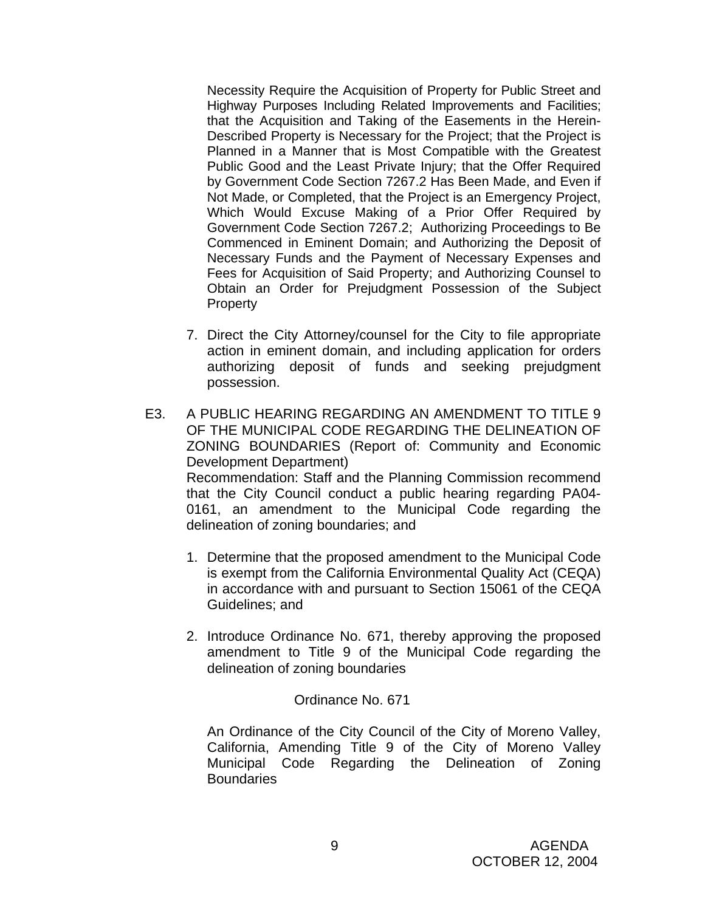Necessity Require the Acquisition of Property for Public Street and Highway Purposes Including Related Improvements and Facilities; that the Acquisition and Taking of the Easements in the Herein-Described Property is Necessary for the Project; that the Project is Planned in a Manner that is Most Compatible with the Greatest Public Good and the Least Private Injury; that the Offer Required by Government Code Section 7267.2 Has Been Made, and Even if Not Made, or Completed, that the Project is an Emergency Project, Which Would Excuse Making of a Prior Offer Required by Government Code Section 7267.2; Authorizing Proceedings to Be Commenced in Eminent Domain; and Authorizing the Deposit of Necessary Funds and the Payment of Necessary Expenses and Fees for Acquisition of Said Property; and Authorizing Counsel to Obtain an Order for Prejudgment Possession of the Subject **Property** 

- 7. Direct the City Attorney/counsel for the City to file appropriate action in eminent domain, and including application for orders authorizing deposit of funds and seeking prejudgment possession.
- E3. A PUBLIC HEARING REGARDING AN AMENDMENT TO TITLE 9 OF THE MUNICIPAL CODE REGARDING THE DELINEATION OF ZONING BOUNDARIES (Report of: Community and Economic Development Department) Recommendation: Staff and the Planning Commission recommend that the City Council conduct a public hearing regarding PA04- 0161, an amendment to the Municipal Code regarding the delineation of zoning boundaries; and
	- 1. Determine that the proposed amendment to the Municipal Code is exempt from the California Environmental Quality Act (CEQA) in accordance with and pursuant to Section 15061 of the CEQA Guidelines; and
	- 2. Introduce Ordinance No. 671, thereby approving the proposed amendment to Title 9 of the Municipal Code regarding the delineation of zoning boundaries

#### Ordinance No. 671

An Ordinance of the City Council of the City of Moreno Valley, California, Amending Title 9 of the City of Moreno Valley Municipal Code Regarding the Delineation of Zoning **Boundaries**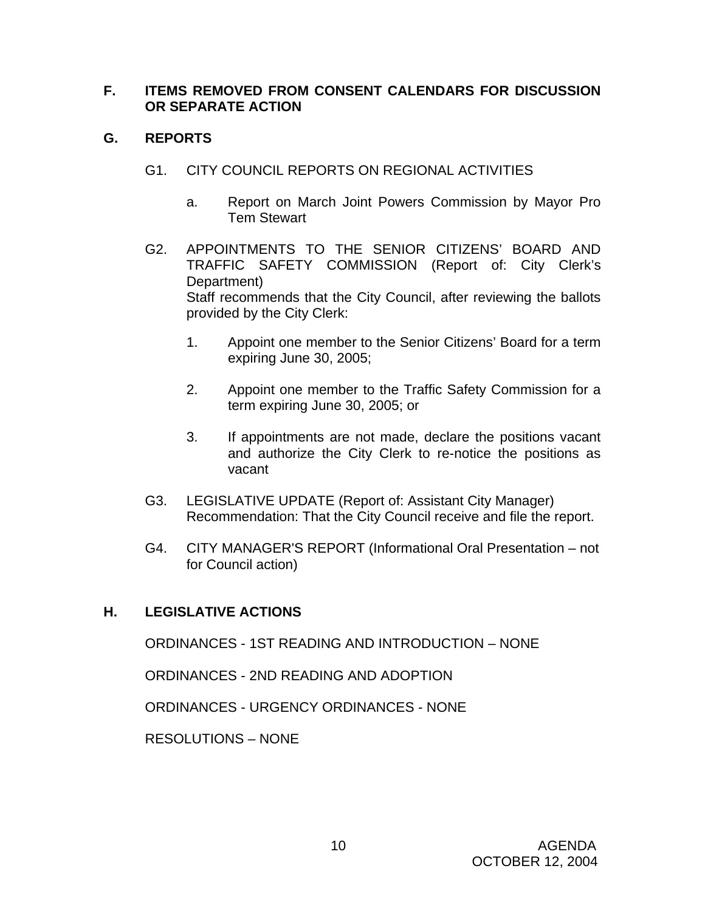## **F. ITEMS REMOVED FROM CONSENT CALENDARS FOR DISCUSSION OR SEPARATE ACTION**

## **G. REPORTS**

- G1. CITY COUNCIL REPORTS ON REGIONAL ACTIVITIES
	- a. Report on March Joint Powers Commission by Mayor Pro Tem Stewart
- G2. APPOINTMENTS TO THE SENIOR CITIZENS' BOARD AND TRAFFIC SAFETY COMMISSION (Report of: City Clerk's Department) Staff recommends that the City Council, after reviewing the ballots provided by the City Clerk:
	- 1. Appoint one member to the Senior Citizens' Board for a term expiring June 30, 2005;
	- 2. Appoint one member to the Traffic Safety Commission for a term expiring June 30, 2005; or
	- 3. If appointments are not made, declare the positions vacant and authorize the City Clerk to re-notice the positions as vacant
- G3. LEGISLATIVE UPDATE (Report of: Assistant City Manager) Recommendation: That the City Council receive and file the report.
- G4. CITY MANAGER'S REPORT (Informational Oral Presentation not for Council action)

# **H. LEGISLATIVE ACTIONS**

ORDINANCES - 1ST READING AND INTRODUCTION – NONE

ORDINANCES - 2ND READING AND ADOPTION

ORDINANCES - URGENCY ORDINANCES - NONE

RESOLUTIONS – NONE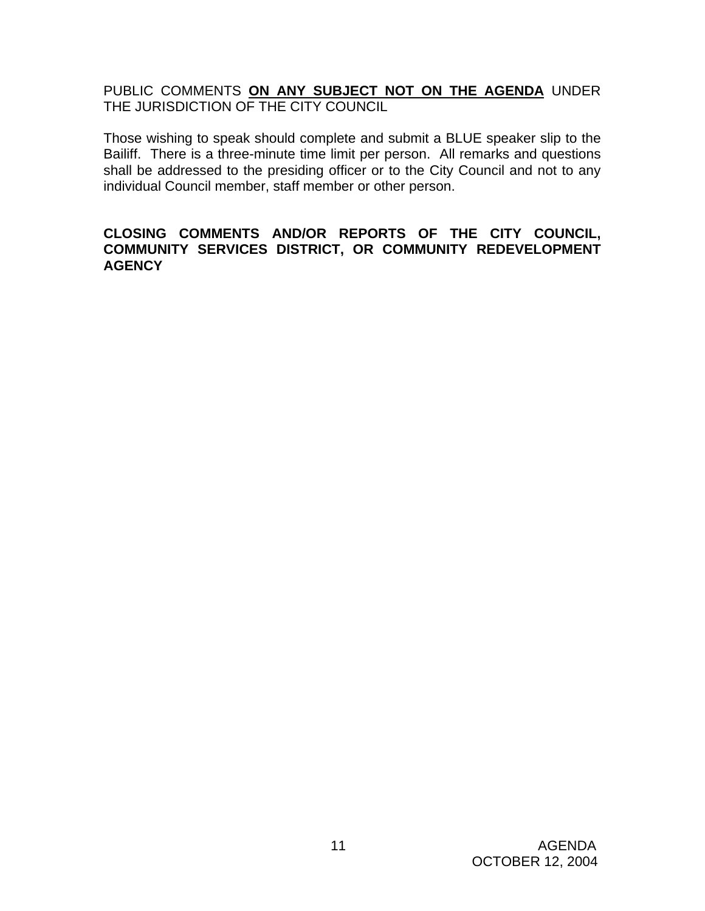PUBLIC COMMENTS **ON ANY SUBJECT NOT ON THE AGENDA** UNDER THE JURISDICTION OF THE CITY COUNCIL

Those wishing to speak should complete and submit a BLUE speaker slip to the Bailiff. There is a three-minute time limit per person. All remarks and questions shall be addressed to the presiding officer or to the City Council and not to any individual Council member, staff member or other person.

#### **CLOSING COMMENTS AND/OR REPORTS OF THE CITY COUNCIL, COMMUNITY SERVICES DISTRICT, OR COMMUNITY REDEVELOPMENT AGENCY**